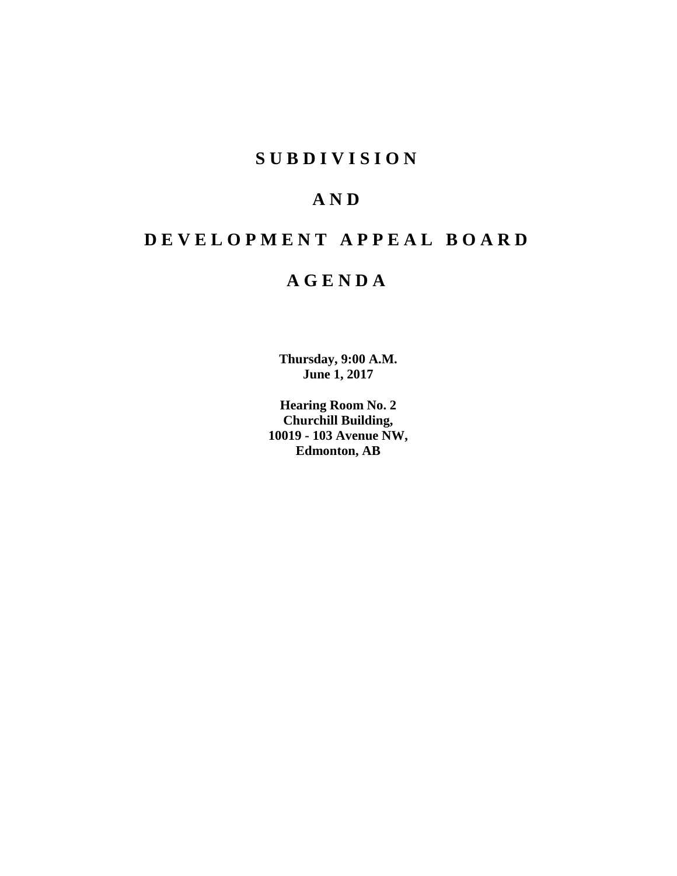# **S U B D I V I S I O N**

# **A N D**

# **D E V E L O P M E N T A P P E A L B O A R D**

# **A G E N D A**

**Thursday, 9:00 A.M. June 1, 2017**

**Hearing Room No. 2 Churchill Building, 10019 - 103 Avenue NW, Edmonton, AB**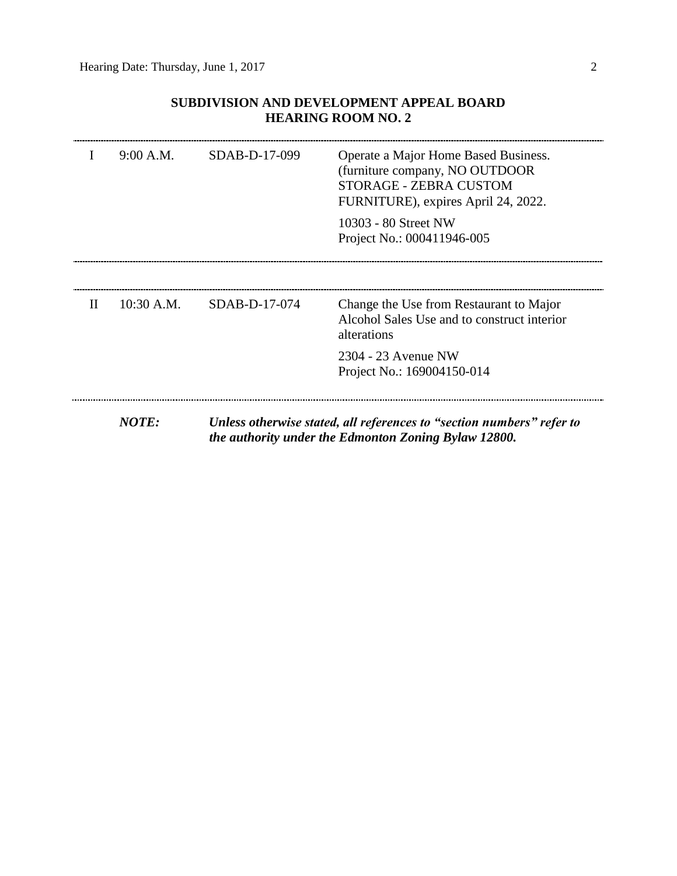## **SUBDIVISION AND DEVELOPMENT APPEAL BOARD HEARING ROOM NO. 2**

|              | 9:00 A.M.    | SDAB-D-17-099 | Operate a Major Home Based Business.<br>(furniture company, NO OUTDOOR)<br>STORAGE - ZEBRA CUSTOM<br>FURNITURE), expires April 24, 2022. |
|--------------|--------------|---------------|------------------------------------------------------------------------------------------------------------------------------------------|
|              |              |               | 10303 - 80 Street NW<br>Project No.: 000411946-005                                                                                       |
| $\mathbf{H}$ | $10:30$ A.M. | SDAB-D-17-074 | Change the Use from Restaurant to Major                                                                                                  |
|              |              |               | Alcohol Sales Use and to construct interior<br>alterations                                                                               |
|              |              |               | 2304 - 23 Avenue NW<br>Project No.: 169004150-014                                                                                        |
|              | <b>NOTE:</b> |               | Unless otherwise stated, all references to "section numbers" refer to<br>the authority under the Edmonton Zoning Bylaw 12800.            |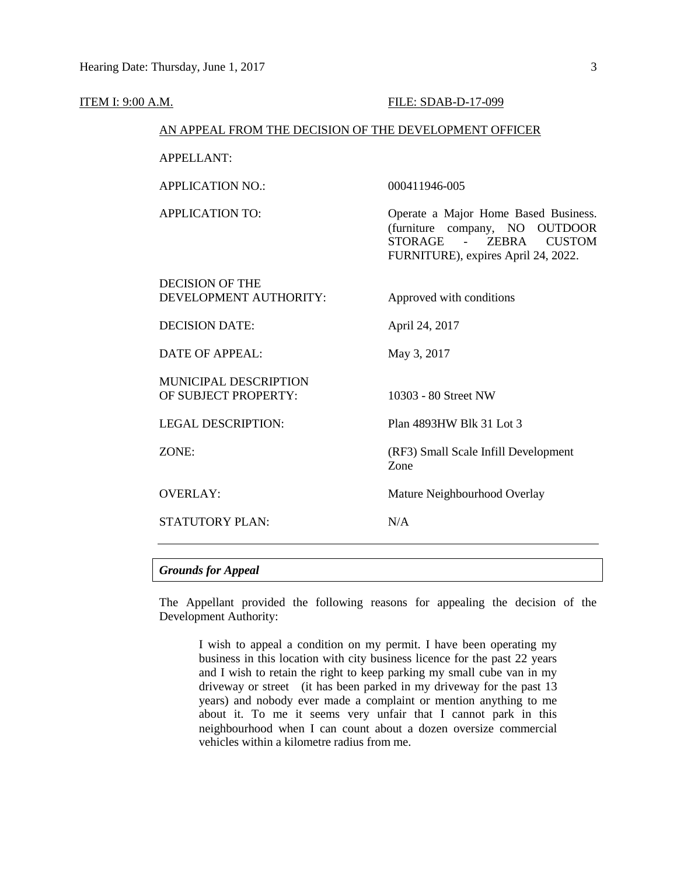| <b>ITEM I: 9:00 A.M.</b> |                                                        | FILE: SDAB-D-17-099                                                                                                                                                                        |
|--------------------------|--------------------------------------------------------|--------------------------------------------------------------------------------------------------------------------------------------------------------------------------------------------|
|                          | AN APPEAL FROM THE DECISION OF THE DEVELOPMENT OFFICER |                                                                                                                                                                                            |
|                          | <b>APPELLANT:</b>                                      |                                                                                                                                                                                            |
|                          | <b>APPLICATION NO.:</b>                                | 000411946-005                                                                                                                                                                              |
|                          | <b>APPLICATION TO:</b>                                 | Operate a Major Home Based Business.<br>(furniture company, NO OUTDOOR<br><b>STORAGE</b><br><b>ZEBRA</b><br>$\Delta \sim 10^{-11}$<br><b>CUSTOM</b><br>FURNITURE), expires April 24, 2022. |
|                          | <b>DECISION OF THE</b><br>DEVELOPMENT AUTHORITY:       | Approved with conditions                                                                                                                                                                   |
|                          | <b>DECISION DATE:</b>                                  | April 24, 2017                                                                                                                                                                             |
|                          | <b>DATE OF APPEAL:</b>                                 | May 3, 2017                                                                                                                                                                                |
|                          | MUNICIPAL DESCRIPTION<br>OF SUBJECT PROPERTY:          | 10303 - 80 Street NW                                                                                                                                                                       |
|                          | <b>LEGAL DESCRIPTION:</b>                              | Plan 4893HW Blk 31 Lot 3                                                                                                                                                                   |
|                          | ZONE:                                                  | (RF3) Small Scale Infill Development<br>Zone                                                                                                                                               |
|                          | <b>OVERLAY:</b>                                        | Mature Neighbourhood Overlay                                                                                                                                                               |
|                          | <b>STATUTORY PLAN:</b>                                 | N/A                                                                                                                                                                                        |
|                          |                                                        |                                                                                                                                                                                            |

### *Grounds for Appeal*

The Appellant provided the following reasons for appealing the decision of the Development Authority:

I wish to appeal a condition on my permit. I have been operating my business in this location with city business licence for the past 22 years and I wish to retain the right to keep parking my small cube van in my driveway or street (it has been parked in my driveway for the past 13 years) and nobody ever made a complaint or mention anything to me about it. To me it seems very unfair that I cannot park in this neighbourhood when I can count about a dozen oversize commercial vehicles within a kilometre radius from me.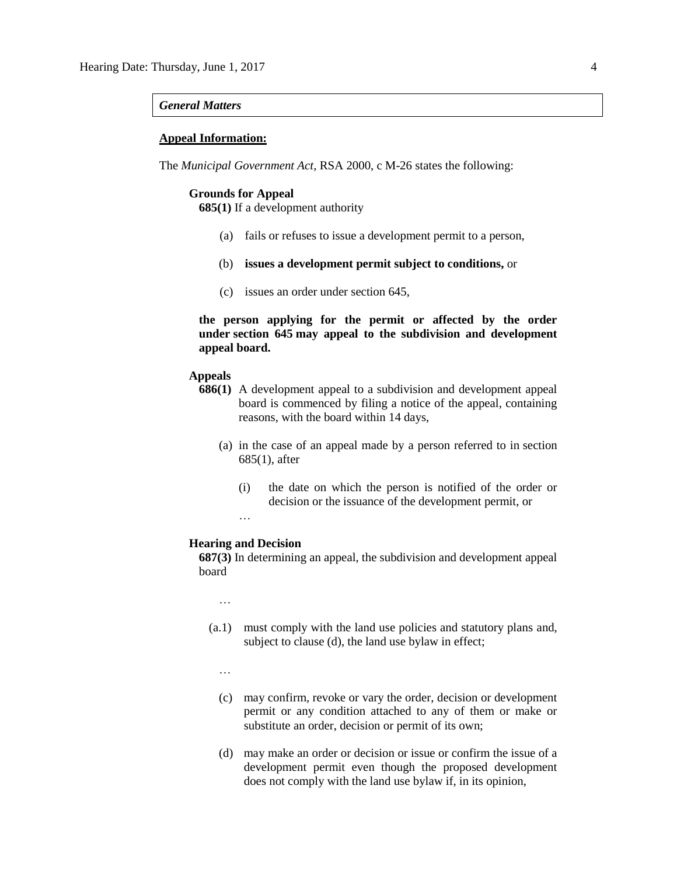#### *General Matters*

#### **Appeal Information:**

The *Municipal Government Act*, RSA 2000, c M-26 states the following:

#### **Grounds for Appeal**

**685(1)** If a development authority

- (a) fails or refuses to issue a development permit to a person,
- (b) **issues a development permit subject to conditions,** or
- (c) issues an order under section 645,

**the person applying for the permit or affected by the order under section 645 may appeal to the subdivision and development appeal board.**

#### **Appeals**

- **686(1)** A development appeal to a subdivision and development appeal board is commenced by filing a notice of the appeal, containing reasons, with the board within 14 days,
	- (a) in the case of an appeal made by a person referred to in section 685(1), after
		- (i) the date on which the person is notified of the order or decision or the issuance of the development permit, or

…

#### **Hearing and Decision**

**687(3)** In determining an appeal, the subdivision and development appeal board

…

- (a.1) must comply with the land use policies and statutory plans and, subject to clause (d), the land use bylaw in effect;
	- …
	- (c) may confirm, revoke or vary the order, decision or development permit or any condition attached to any of them or make or substitute an order, decision or permit of its own;
	- (d) may make an order or decision or issue or confirm the issue of a development permit even though the proposed development does not comply with the land use bylaw if, in its opinion,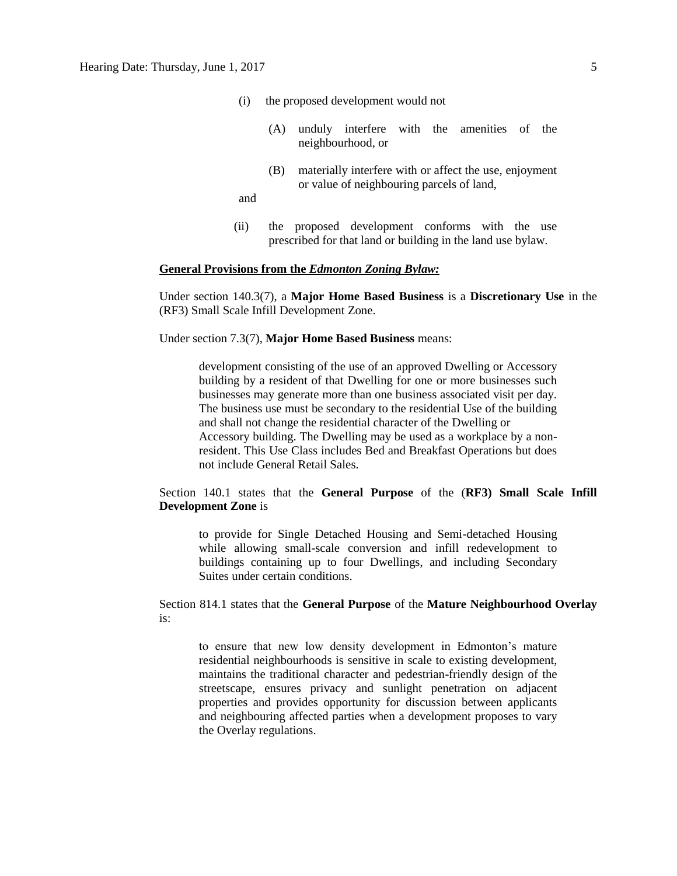- (i) the proposed development would not
	- (A) unduly interfere with the amenities of the neighbourhood, or
	- (B) materially interfere with or affect the use, enjoyment or value of neighbouring parcels of land,

and

(ii) the proposed development conforms with the use prescribed for that land or building in the land use bylaw.

#### **General Provisions from the** *Edmonton Zoning Bylaw:*

Under section 140.3(7), a **Major Home Based Business** is a **Discretionary Use** in the (RF3) Small Scale Infill Development Zone.

Under section 7.3(7), **Major Home Based Business** means:

development consisting of the use of an approved Dwelling or Accessory building by a resident of that Dwelling for one or more businesses such businesses may generate more than one business associated visit per day. The business use must be secondary to the residential Use of the building and shall not change the residential character of the Dwelling or Accessory building. The Dwelling may be used as a workplace by a nonresident. This Use Class includes Bed and Breakfast Operations but does not include General Retail Sales.

Section 140.1 states that the **General Purpose** of the (**RF3) Small Scale Infill Development Zone** is

to provide for Single Detached Housing and Semi-detached Housing while allowing small-scale conversion and infill redevelopment to buildings containing up to four Dwellings, and including Secondary Suites under certain conditions.

Section 814.1 states that the **General Purpose** of the **Mature Neighbourhood Overlay** is:

to ensure that new low density development in Edmonton's mature residential neighbourhoods is sensitive in scale to existing development, maintains the traditional character and pedestrian-friendly design of the streetscape, ensures privacy and sunlight penetration on adjacent properties and provides opportunity for discussion between applicants and neighbouring affected parties when a development proposes to vary the Overlay regulations.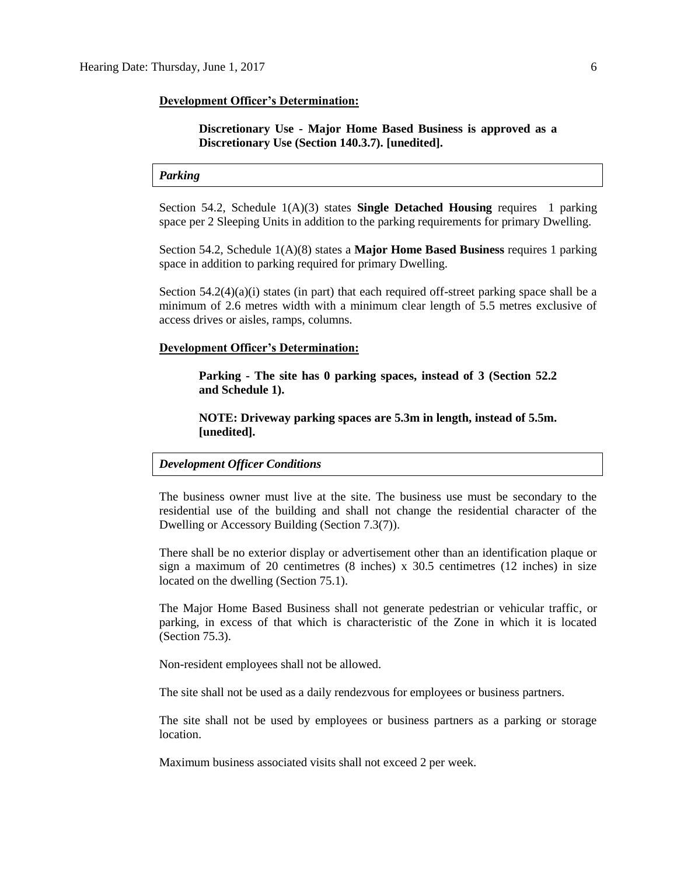#### **Development Officer's Determination:**

#### **Discretionary Use - Major Home Based Business is approved as a Discretionary Use (Section 140.3.7). [unedited].**

#### *Parking*

Section 54.2, Schedule 1(A)(3) states **Single Detached Housing** requires 1 parking space per 2 Sleeping Units in addition to the parking requirements for primary Dwelling.

Section 54.2, Schedule 1(A)(8) states a **Major Home Based Business** requires 1 parking space in addition to parking required for primary Dwelling.

Section  $54.2(4)(a)(i)$  states (in part) that each required off-street parking space shall be a minimum of 2.6 metres width with a minimum clear length of 5.5 metres exclusive of access drives or aisles, ramps, columns.

#### **Development Officer's Determination:**

**Parking - The site has 0 parking spaces, instead of 3 (Section 52.2 and Schedule 1).**

**NOTE: Driveway parking spaces are 5.3m in length, instead of 5.5m. [unedited].**

#### *Development Officer Conditions*

The business owner must live at the site. The business use must be secondary to the residential use of the building and shall not change the residential character of the Dwelling or Accessory Building (Section 7.3(7)).

There shall be no exterior display or advertisement other than an identification plaque or sign a maximum of 20 centimetres  $(8 \text{ inches}) \times 30.5$  centimetres  $(12 \text{ inches})$  in size located on the dwelling (Section 75.1).

The Major Home Based Business shall not generate pedestrian or vehicular traffic, or parking, in excess of that which is characteristic of the Zone in which it is located (Section 75.3).

Non-resident employees shall not be allowed.

The site shall not be used as a daily rendezvous for employees or business partners.

The site shall not be used by employees or business partners as a parking or storage location.

Maximum business associated visits shall not exceed 2 per week.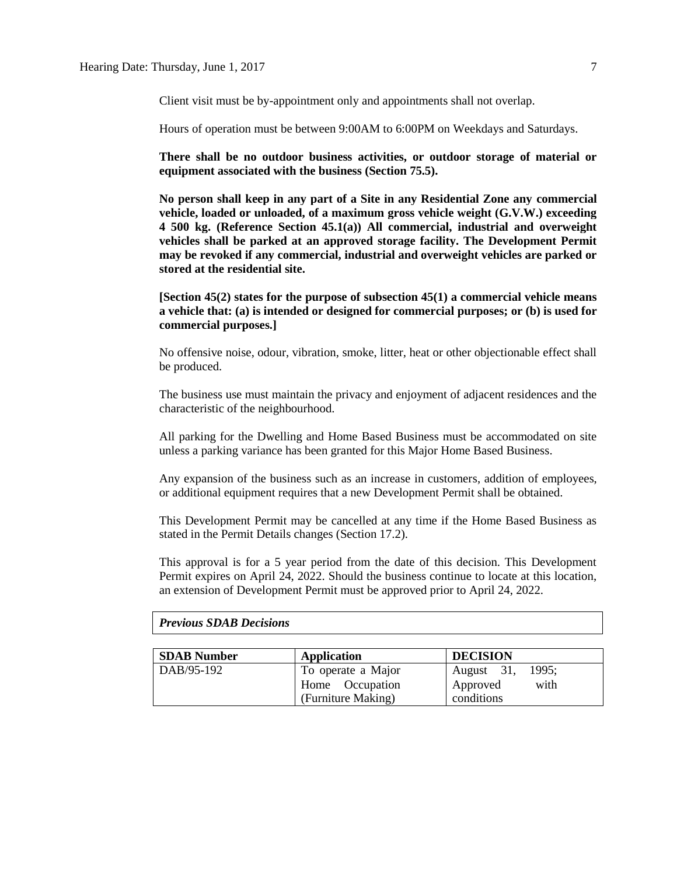Client visit must be by-appointment only and appointments shall not overlap.

Hours of operation must be between 9:00AM to 6:00PM on Weekdays and Saturdays.

**There shall be no outdoor business activities, or outdoor storage of material or equipment associated with the business (Section 75.5).**

**No person shall keep in any part of a Site in any Residential Zone any commercial vehicle, loaded or unloaded, of a maximum gross vehicle weight (G.V.W.) exceeding 4 500 kg. (Reference Section 45.1(a)) All commercial, industrial and overweight vehicles shall be parked at an approved storage facility. The Development Permit may be revoked if any commercial, industrial and overweight vehicles are parked or stored at the residential site.**

**[Section 45(2) states for the purpose of subsection 45(1) a commercial vehicle means a vehicle that: (a) is intended or designed for commercial purposes; or (b) is used for commercial purposes.]**

No offensive noise, odour, vibration, smoke, litter, heat or other objectionable effect shall be produced.

The business use must maintain the privacy and enjoyment of adjacent residences and the characteristic of the neighbourhood.

All parking for the Dwelling and Home Based Business must be accommodated on site unless a parking variance has been granted for this Major Home Based Business.

Any expansion of the business such as an increase in customers, addition of employees, or additional equipment requires that a new Development Permit shall be obtained.

This Development Permit may be cancelled at any time if the Home Based Business as stated in the Permit Details changes (Section 17.2).

This approval is for a 5 year period from the date of this decision. This Development Permit expires on April 24, 2022. Should the business continue to locate at this location, an extension of Development Permit must be approved prior to April 24, 2022.

| <b>SDAB</b> Number | Application        | <b>DECISION</b>     |
|--------------------|--------------------|---------------------|
| DAB/95-192         | To operate a Major | 1995:<br>August 31, |
|                    | Home Occupation    | with<br>Approved    |
|                    | (Furniture Making) | conditions          |

#### *Previous SDAB Decisions*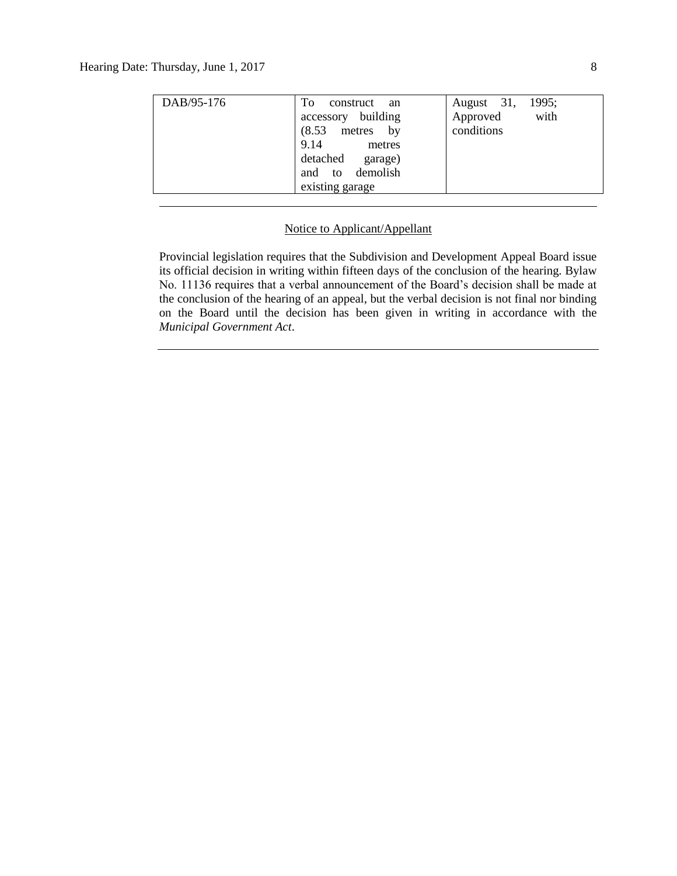| DAB/95-176 | To<br>construct an<br>accessory building<br>metres by<br>(8.53)<br>9.14<br>metres<br>detached<br>garage)<br>demolish<br>and to<br>existing garage | August 31,<br>1995;<br>with<br>Approved<br>conditions |
|------------|---------------------------------------------------------------------------------------------------------------------------------------------------|-------------------------------------------------------|
|            |                                                                                                                                                   |                                                       |

#### Notice to Applicant/Appellant

Provincial legislation requires that the Subdivision and Development Appeal Board issue its official decision in writing within fifteen days of the conclusion of the hearing. Bylaw No. 11136 requires that a verbal announcement of the Board's decision shall be made at the conclusion of the hearing of an appeal, but the verbal decision is not final nor binding on the Board until the decision has been given in writing in accordance with the *Municipal Government Act*.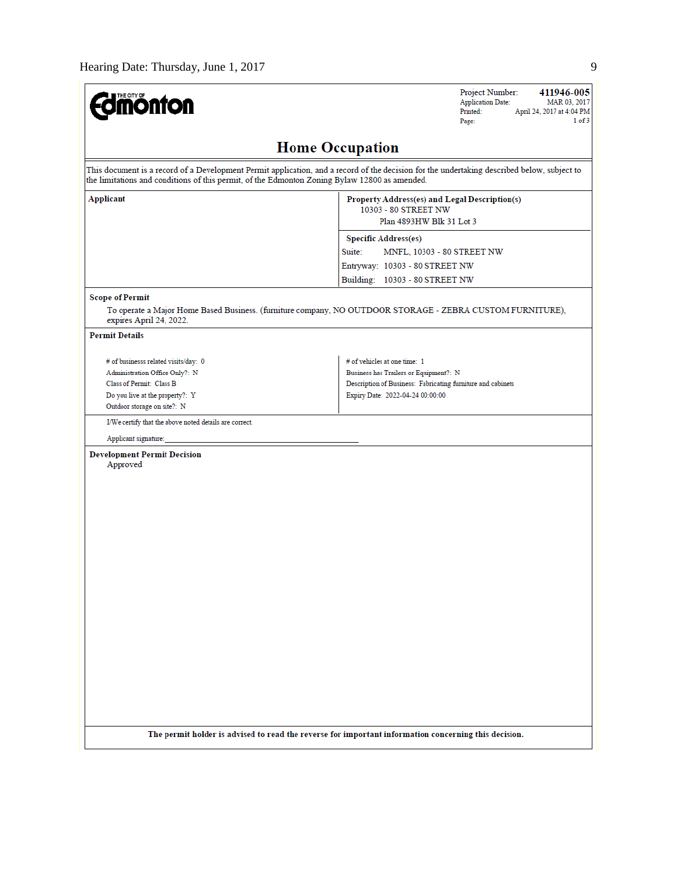

411946-005 Project Number: Application Date: MAR 03, 2017 Printed: April 24, 2017 at 4:04 PM  $1 of 3$ Page:

## **Home Occupation**

This document is a record of a Development Permit application, and a record of the decision for the undertaking described below, subject to the limitations and conditions of this permit, of the Edmonton Zoning Bylaw 12800 as amended. **Applicant** Property Address(es) and Legal Description(s) 10303 - 80 STREET NW Plan 4893HW Blk 31 Lot 3 **Specific Address(es)** Suite: MNFL, 10303 - 80 STREET NW Entryway: 10303 - 80 STREET NW Building: 10303 - 80 STREET NW **Scope of Permit** To operate a Major Home Based Business. (furniture company, NO OUTDOOR STORAGE - ZEBRA CUSTOM FURNITURE), expires April 24, 2022. **Permit Details** # of businesss related visits/day: 0 # of vehicles at one time: 1 Administration Office Only?: N Business has Trailers or Equipment?: N Class of Permit: Class B Description of Business: Fabricating furniture and cabinets Do you live at the property?: Y Expiry Date: 2022-04-24 00:00:00 Outdoor storage on site?: N I/We certify that the above noted details are correct. Applicant signature: **Development Permit Decision** Approved The permit holder is advised to read the reverse for important information concerning this decision.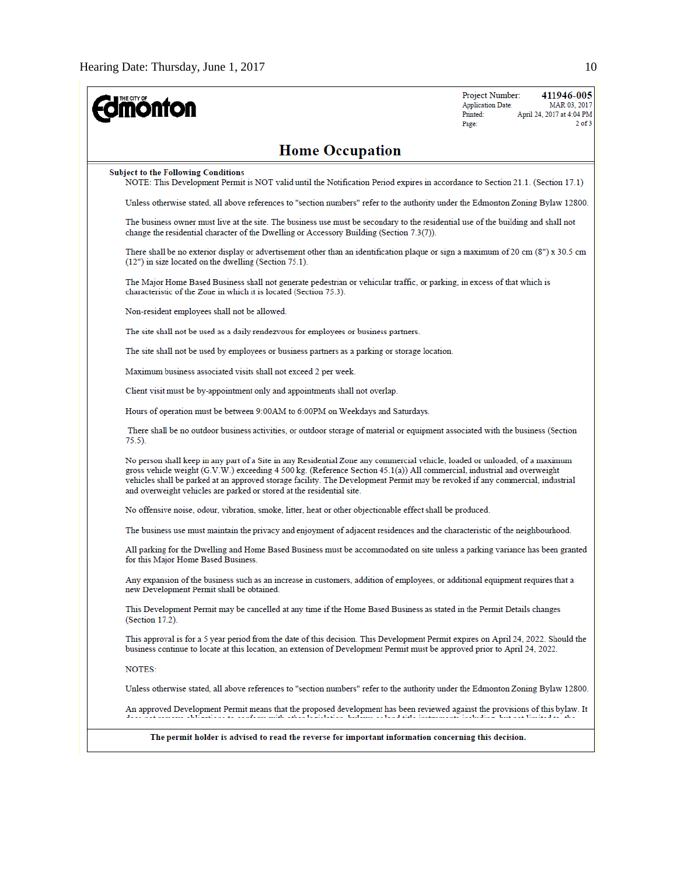| THE CITY OF<br><b>ionton</b>                                                                                                                                                                                                                                                                                                                                                                                                                                     | Project Number:<br>411946-005<br><b>Application Date:</b><br>MAR 03, 2017<br>Printed:<br>April 24, 2017 at 4:04 PM<br>$2$ of $3$<br>Page: |  |  |  |  |
|------------------------------------------------------------------------------------------------------------------------------------------------------------------------------------------------------------------------------------------------------------------------------------------------------------------------------------------------------------------------------------------------------------------------------------------------------------------|-------------------------------------------------------------------------------------------------------------------------------------------|--|--|--|--|
| <b>Home Occupation</b>                                                                                                                                                                                                                                                                                                                                                                                                                                           |                                                                                                                                           |  |  |  |  |
| <b>Subject to the Following Conditions</b><br>NOTE: This Development Permit is NOT valid until the Notification Period expires in accordance to Section 21.1. (Section 17.1)                                                                                                                                                                                                                                                                                     |                                                                                                                                           |  |  |  |  |
| Unless otherwise stated, all above references to "section numbers" refer to the authority under the Edmonton Zoning Bylaw 12800.                                                                                                                                                                                                                                                                                                                                 |                                                                                                                                           |  |  |  |  |
| The business owner must live at the site. The business use must be secondary to the residential use of the building and shall not<br>change the residential character of the Dwelling or Accessory Building (Section 7.3(7)).                                                                                                                                                                                                                                    |                                                                                                                                           |  |  |  |  |
| There shall be no exterior display or advertisement other than an identification plaque or sign a maximum of 20 cm (8") x 30.5 cm<br>(12") in size located on the dwelling (Section 75.1).                                                                                                                                                                                                                                                                       |                                                                                                                                           |  |  |  |  |
| The Major Home Based Business shall not generate pedestrian or vehicular traffic, or parking, in excess of that which is<br>characteristic of the Zone in which it is located (Section 75.3).                                                                                                                                                                                                                                                                    |                                                                                                                                           |  |  |  |  |
| Non-resident employees shall not be allowed.                                                                                                                                                                                                                                                                                                                                                                                                                     |                                                                                                                                           |  |  |  |  |
| The site shall not be used as a daily rendezvous for employees or business partners.                                                                                                                                                                                                                                                                                                                                                                             |                                                                                                                                           |  |  |  |  |
| The site shall not be used by employees or business partners as a parking or storage location.                                                                                                                                                                                                                                                                                                                                                                   |                                                                                                                                           |  |  |  |  |
| Maximum business associated visits shall not exceed 2 per week.                                                                                                                                                                                                                                                                                                                                                                                                  |                                                                                                                                           |  |  |  |  |
| Client visit must be by-appointment only and appointments shall not overlap.                                                                                                                                                                                                                                                                                                                                                                                     |                                                                                                                                           |  |  |  |  |
| Hours of operation must be between 9:00AM to 6:00PM on Weekdays and Saturdays.                                                                                                                                                                                                                                                                                                                                                                                   |                                                                                                                                           |  |  |  |  |
| There shall be no outdoor business activities, or outdoor storage of material or equipment associated with the business (Section<br>75.5).                                                                                                                                                                                                                                                                                                                       |                                                                                                                                           |  |  |  |  |
| No person shall keep in any part of a Site in any Residential Zone any commercial vehicle, loaded or unloaded, of a maximum<br>gross vehicle weight (G.V.W.) exceeding 4 500 kg. (Reference Section 45.1(a)) All commercial, industrial and overweight<br>vehicles shall be parked at an approved storage facility. The Development Permit may be revoked if any commercial, industrial<br>and overweight vehicles are parked or stored at the residential site. |                                                                                                                                           |  |  |  |  |
| No offensive noise, odour, vibration, smoke, litter, heat or other objectionable effect shall be produced.                                                                                                                                                                                                                                                                                                                                                       |                                                                                                                                           |  |  |  |  |
| The business use must maintain the privacy and enjoyment of adjacent residences and the characteristic of the neighbourhood.                                                                                                                                                                                                                                                                                                                                     |                                                                                                                                           |  |  |  |  |
| All parking for the Dwelling and Home Based Business must be accommodated on site unless a parking variance has been granted<br>for this Major Home Based Business.                                                                                                                                                                                                                                                                                              |                                                                                                                                           |  |  |  |  |
| Any expansion of the business such as an increase in customers, addition of employees, or additional equipment requires that a<br>new Development Permit shall be obtained.                                                                                                                                                                                                                                                                                      |                                                                                                                                           |  |  |  |  |
| This Development Permit may be cancelled at any time if the Home Based Business as stated in the Permit Details changes<br>(Section 17.2).                                                                                                                                                                                                                                                                                                                       |                                                                                                                                           |  |  |  |  |
| This approval is for a 5 year period from the date of this decision. This Development Permit expires on April 24, 2022. Should the<br>business continue to locate at this location, an extension of Development Permit must be approved prior to April 24, 2022.                                                                                                                                                                                                 |                                                                                                                                           |  |  |  |  |
| NOTES:                                                                                                                                                                                                                                                                                                                                                                                                                                                           |                                                                                                                                           |  |  |  |  |
| Unless otherwise stated, all above references to "section numbers" refer to the authority under the Edmonton Zoning Bylaw 12800.                                                                                                                                                                                                                                                                                                                                 |                                                                                                                                           |  |  |  |  |
| An approved Development Permit means that the proposed development has been reviewed against the provisions of this bylaw. It<br>r som en statissimmer som grun sina samli asimancum analim so ana ana memilimum metram i analim ana amin'ny ars                                                                                                                                                                                                                 |                                                                                                                                           |  |  |  |  |
| The permit holder is advised to read the reverse for important information concerning this decision.                                                                                                                                                                                                                                                                                                                                                             |                                                                                                                                           |  |  |  |  |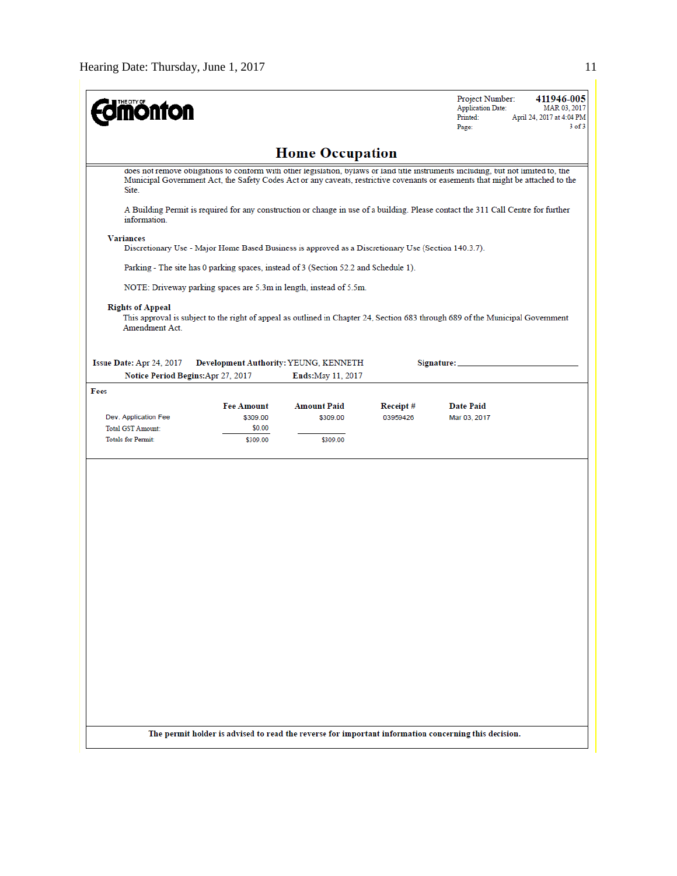| THE CITY OF<br><b>nonton</b>                     |                    |                                                                                                                                                                                                                                                                       |          | Project Number:<br><b>Application Date:</b><br>Printed:<br>Page:                                     | 411946-005<br>MAR 03, 2017<br>April 24, 2017 at 4:04 PM<br>$3$ of $3$ |
|--------------------------------------------------|--------------------|-----------------------------------------------------------------------------------------------------------------------------------------------------------------------------------------------------------------------------------------------------------------------|----------|------------------------------------------------------------------------------------------------------|-----------------------------------------------------------------------|
|                                                  |                    | <b>Home Occupation</b>                                                                                                                                                                                                                                                |          |                                                                                                      |                                                                       |
| Site.                                            |                    | does not remove obligations to conform with other legislation, bylaws or land title instruments including, but not limited to, the<br>Municipal Government Act, the Safety Codes Act or any caveats, restrictive covenants or easements that might be attached to the |          |                                                                                                      |                                                                       |
| information.                                     |                    | A Building Permit is required for any construction or change in use of a building. Please contact the 311 Call Centre for further                                                                                                                                     |          |                                                                                                      |                                                                       |
| <b>Variances</b>                                 |                    | Discretionary Use - Major Home Based Business is approved as a Discretionary Use (Section 140.3.7).                                                                                                                                                                   |          |                                                                                                      |                                                                       |
|                                                  |                    | Parking - The site has 0 parking spaces, instead of 3 (Section 52.2 and Schedule 1).                                                                                                                                                                                  |          |                                                                                                      |                                                                       |
|                                                  |                    | NOTE: Driveway parking spaces are 5.3m in length, instead of 5.5m.                                                                                                                                                                                                    |          |                                                                                                      |                                                                       |
| <b>Rights of Appeal</b><br>Amendment Act.        |                    | This approval is subject to the right of appeal as outlined in Chapter 24, Section 683 through 689 of the Municipal Government                                                                                                                                        |          |                                                                                                      |                                                                       |
| Issue Date: Apr 24, 2017                         |                    | Development Authority: YEUNG, KENNETH                                                                                                                                                                                                                                 |          | Signature:                                                                                           |                                                                       |
| Notice Period Begins: Apr 27, 2017               |                    | <b>Ends:</b> May 11, 2017                                                                                                                                                                                                                                             |          |                                                                                                      |                                                                       |
| Fees                                             |                    |                                                                                                                                                                                                                                                                       |          |                                                                                                      |                                                                       |
|                                                  | <b>Fee Amount</b>  | <b>Amount Paid</b>                                                                                                                                                                                                                                                    | Receipt# | <b>Date Paid</b>                                                                                     |                                                                       |
| Dev. Application Fee<br><b>Total GST Amount:</b> | \$309.00<br>\$0.00 | \$309.00                                                                                                                                                                                                                                                              | 03959426 | Mar 03, 2017                                                                                         |                                                                       |
| <b>Totals for Permit:</b>                        | \$309.00           | \$309.00                                                                                                                                                                                                                                                              |          |                                                                                                      |                                                                       |
|                                                  |                    |                                                                                                                                                                                                                                                                       |          | The permit holder is advised to read the reverse for important information concerning this decision. |                                                                       |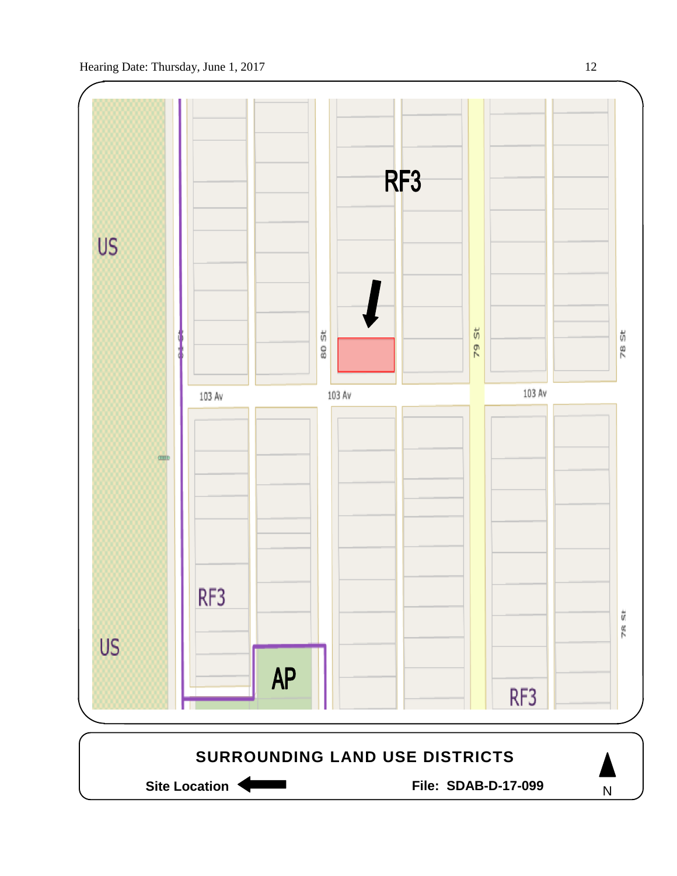



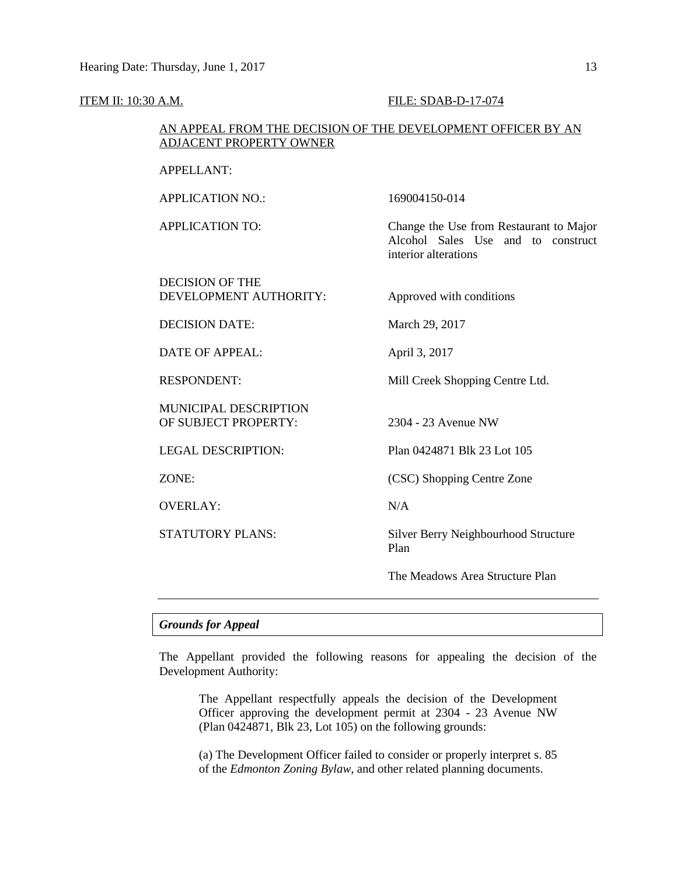#### ITEM II: 10:30 A.M. FILE: SDAB-D-17-074

#### AN APPEAL FROM THE DECISION OF THE DEVELOPMENT OFFICER BY AN ADJACENT PROPERTY OWNER

| <b>APPELLANT:</b> |  |
|-------------------|--|
|-------------------|--|

APPLICATION NO.: 169004150-014

APPLICATION TO: Change the Use from Restaurant to Major

DECISION OF THE DEVELOPMENT AUTHORITY: Approved with conditions

DECISION DATE: March 29, 2017

DATE OF APPEAL: April 3, 2017

MUNICIPAL DESCRIPTION OF SUBJECT PROPERTY: 2304 - 23 Avenue NW

OVERLAY: N/A

interior alterations

RESPONDENT: Mill Creek Shopping Centre Ltd.

Alcohol Sales Use and to construct

LEGAL DESCRIPTION: Plan 0424871 Blk 23 Lot 105

ZONE: (CSC) Shopping Centre Zone

STATUTORY PLANS: Silver Berry Neighbourhood Structure Plan

The Meadows Area Structure Plan

#### *Grounds for Appeal*

The Appellant provided the following reasons for appealing the decision of the Development Authority:

The Appellant respectfully appeals the decision of the Development Officer approving the development permit at 2304 - 23 Avenue NW (Plan 0424871, Blk 23, Lot 105) on the following grounds:

(a) The Development Officer failed to consider or properly interpret s. 85 of the *Edmonton Zoning Bylaw*, and other related planning documents.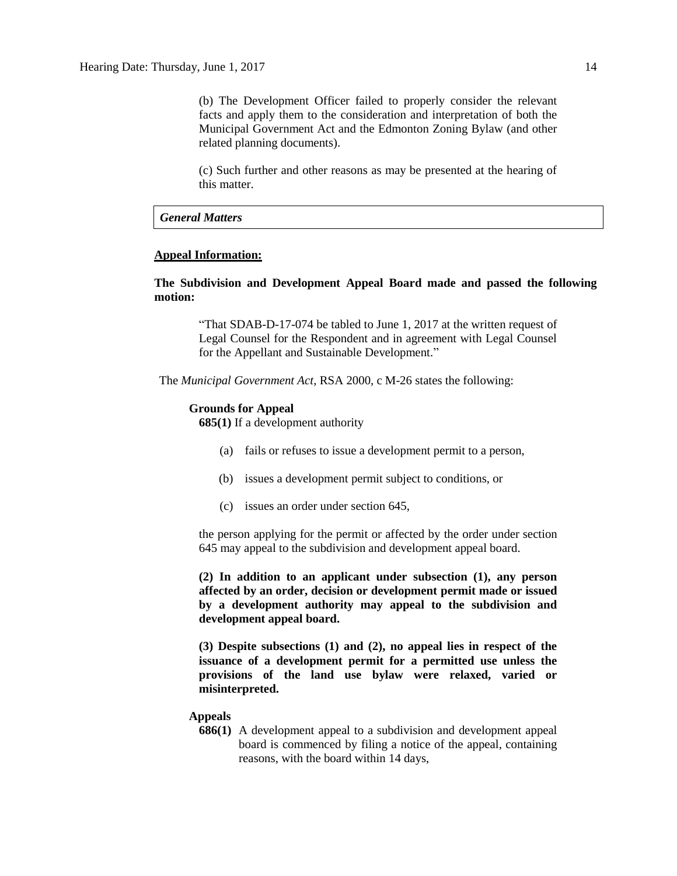(b) The Development Officer failed to properly consider the relevant facts and apply them to the consideration and interpretation of both the Municipal Government Act and the Edmonton Zoning Bylaw (and other related planning documents).

(c) Such further and other reasons as may be presented at the hearing of this matter.

#### *General Matters*

#### **Appeal Information:**

**The Subdivision and Development Appeal Board made and passed the following motion:**

"That SDAB-D-17-074 be tabled to June 1, 2017 at the written request of Legal Counsel for the Respondent and in agreement with Legal Counsel for the Appellant and Sustainable Development."

The *Municipal Government Act*, RSA 2000, c M-26 states the following:

#### **Grounds for Appeal**

**685(1)** If a development authority

- (a) fails or refuses to issue a development permit to a person,
- (b) issues a development permit subject to conditions, or
- (c) issues an order under section 645,

the person applying for the permit or affected by the order under section 645 may appeal to the subdivision and development appeal board.

**(2) In addition to an applicant under subsection (1), any person affected by an order, decision or development permit made or issued by a development authority may appeal to the subdivision and development appeal board.**

**(3) Despite subsections (1) and (2), no appeal lies in respect of the issuance of a development permit for a permitted use unless the provisions of the land use bylaw were relaxed, varied or misinterpreted.**

#### **Appeals**

**686(1)** A development appeal to a subdivision and development appeal board is commenced by filing a notice of the appeal, containing reasons, with the board within 14 days,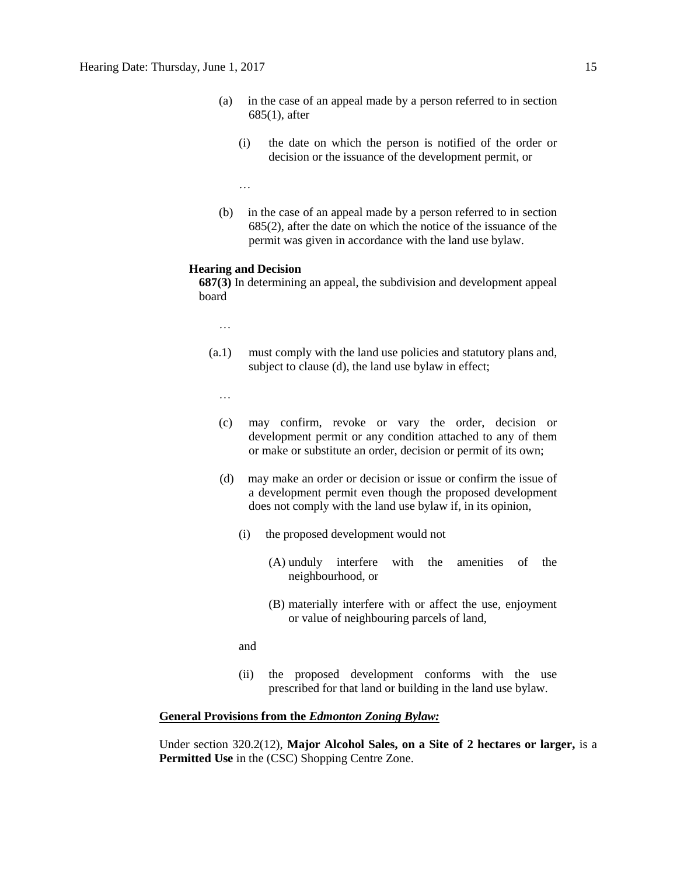- (a) in the case of an appeal made by a person referred to in section 685(1), after
	- (i) the date on which the person is notified of the order or decision or the issuance of the development permit, or

…

(b) in the case of an appeal made by a person referred to in section 685(2), after the date on which the notice of the issuance of the permit was given in accordance with the land use bylaw.

#### **Hearing and Decision**

**687(3)** In determining an appeal, the subdivision and development appeal board

- …
- (a.1) must comply with the land use policies and statutory plans and, subject to clause (d), the land use bylaw in effect;
	- …
	- (c) may confirm, revoke or vary the order, decision or development permit or any condition attached to any of them or make or substitute an order, decision or permit of its own;
	- (d) may make an order or decision or issue or confirm the issue of a development permit even though the proposed development does not comply with the land use bylaw if, in its opinion,
		- (i) the proposed development would not
			- (A) unduly interfere with the amenities of the neighbourhood, or
			- (B) materially interfere with or affect the use, enjoyment or value of neighbouring parcels of land,

and

(ii) the proposed development conforms with the use prescribed for that land or building in the land use bylaw.

#### **General Provisions from the** *Edmonton Zoning Bylaw:*

Under section 320.2(12), **Major Alcohol Sales, on a Site of 2 hectares or larger,** is a **Permitted Use** in the (CSC) Shopping Centre Zone.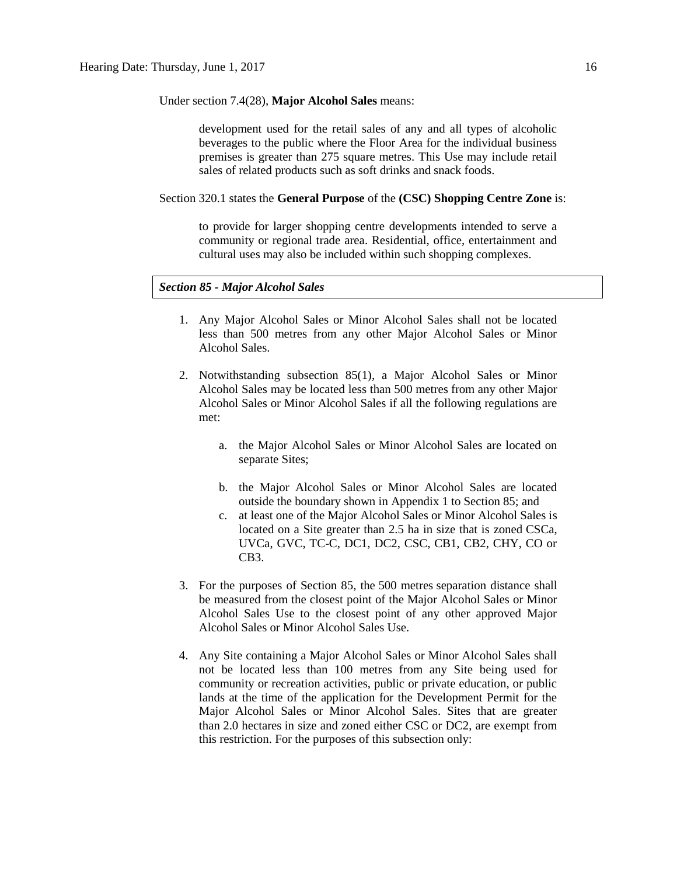Under section 7.4(28), **Major Alcohol Sales** means:

development used for the retail sales of any and all types of alcoholic beverages to the public where the Floor Area for the individual business premises is greater than 275 square metres. This Use may include retail sales of related products such as soft drinks and snack foods.

Section 320.1 states the **General Purpose** of the **(CSC) Shopping Centre Zone** is:

to provide for larger shopping centre developments intended to serve a community or regional trade area. Residential, office, entertainment and cultural uses may also be included within such shopping complexes.

### *Section 85 - Major Alcohol Sales*

- 1. Any Major Alcohol Sales or Minor Alcohol Sales shall not be located less than 500 metres from any other Major Alcohol Sales or Minor Alcohol Sales.
- 2. Notwithstanding subsection 85(1), a Major Alcohol Sales or Minor Alcohol Sales may be located less than [500 me](javascript:void(0);)tres from any other Major Alcohol Sales or Minor Alcohol Sales if all the following regulations are met:
	- a. the Major Alcohol Sales or Minor Alcohol Sales are located on separate Sites;
	- b. the Major Alcohol Sales or Minor Alcohol Sales are located outside the boundary shown in Appendix 1 to Section 85; and
	- c. at least one of the Major Alcohol Sales or Minor Alcohol Sales is located on a Site greater than 2.5 ha in size that is zoned CSCa, UVCa, GVC, TC-C, DC1, DC2, CSC, CB1, CB2, CHY, CO or CB3.
- 3. For the purposes of Section 85, the 500 metres separation distance shall be measured from the closest point of the Major Alcohol Sales or Minor Alcohol Sales Use to the closest point of any other approved Major Alcohol Sales or Minor Alcohol Sales Use.
- 4. Any Site containing a Major Alcohol Sales or Minor Alcohol Sales shall not be located less than 100 metres from any Site being used for community or recreation activities, public or private education, or public lands at the time of the application for the Development Permit for the Major Alcohol Sales or Minor Alcohol Sales. Sites that are greater than 2.0 hectares in size and zoned either CSC or DC2, are exempt from this restriction. For the purposes of this subsection only: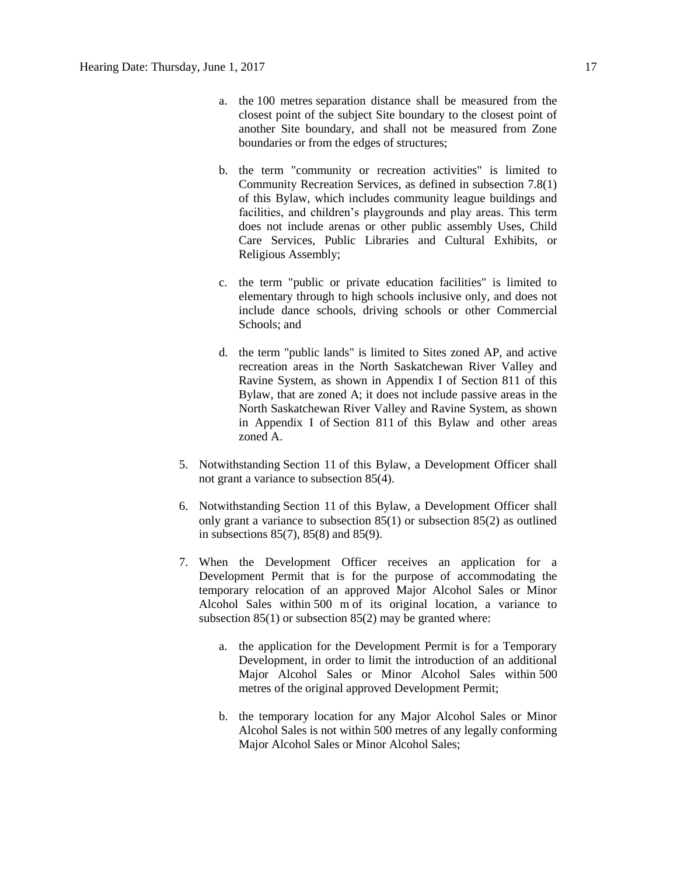- a. the [100 me](http://webdocs.edmonton.ca/InfraPlan/zoningbylaw/ZoningBylaw/Measurements/im100.htm)tres separation distance shall be measured from the closest point of the subject Site boundary to the closest point of another Site boundary, and shall not be measured from Zone boundaries or from the edges of structures;
- b. the term "community or recreation activities" is limited to Community Recreation Services, as defined in subsection 7.8(1) of this Bylaw, which includes community league buildings and facilities, and children's playgrounds and play areas. This term does not include arenas or other public assembly Uses, Child Care Services, Public Libraries and Cultural Exhibits, or Religious Assembly;
- c. the term "public or private education facilities" is limited to elementary through to high schools inclusive only, and does not include dance schools, driving schools or other Commercial Schools; and
- d. the term "public lands" is limited to Sites zoned AP, and active recreation areas in the North Saskatchewan River Valley and Ravine System, as shown in Appendix I of Section 811 of this Bylaw, that are zoned A; it does not include passive areas in the North Saskatchewan River Valley and Ravine System, as shown in Appendix I of [Section 811](http://webdocs.edmonton.ca/InfraPlan/zoningbylaw/ZoningBylaw/Part2/Overlays/811_North_Saskatchewan_River_Valley_and_Ravine_System_Protection_Overlay.htm) of this Bylaw and other areas zoned A.
- 5. Notwithstanding [Section 11](http://webdocs.edmonton.ca/InfraPlan/zoningbylaw/ZoningBylaw/Part1/Administrative/11__Authority_and_Responsibility_of_the_Development_Officer.htm) of this Bylaw, a Development Officer shall not grant a variance to subsection 85(4).
- 6. Notwithstanding [Section 11](http://webdocs.edmonton.ca/InfraPlan/zoningbylaw/ZoningBylaw/Part1/Administrative/11__Authority_and_Responsibility_of_the_Development_Officer.htm) of this Bylaw, a Development Officer shall only grant a variance to subsection 85(1) or subsection 85(2) as outlined in subsections 85(7), 85(8) and 85(9).
- 7. When the Development Officer receives an application for a Development Permit that is for the purpose of accommodating the temporary relocation of an approved Major Alcohol Sales or Minor Alcohol Sales within [500 m](javascript:void(0);) of its original location, a variance to subsection 85(1) or subsection 85(2) may be granted where:
	- a. the application for the Development Permit is for a Temporary Development, in order to limit the introduction of an additional Major Alcohol Sales or Minor Alcohol Sales within [500](javascript:void(0);)  [me](javascript:void(0);)tres of the original approved Development Permit;
	- b. the temporary location for any Major Alcohol Sales or Minor Alcohol Sales is not within [500 me](javascript:void(0);)tres of any legally conforming Major Alcohol Sales or Minor Alcohol Sales;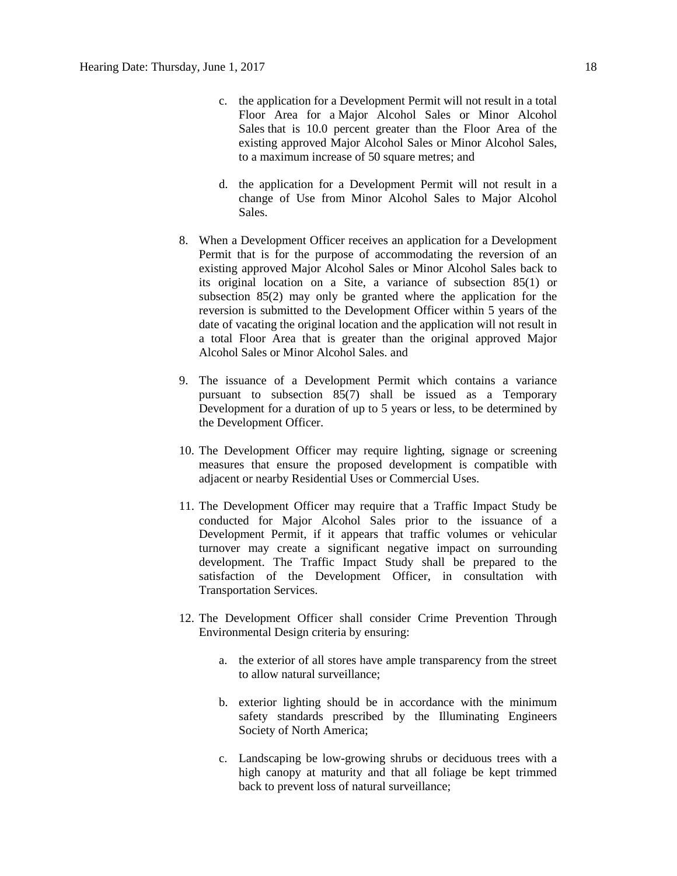- c. the application for a Development Permit will not result in a total Floor Area for a Major Alcohol Sales or Minor Alcohol Sales that is 10.0 percent greater than the Floor Area of the existing approved Major Alcohol Sales or Minor Alcohol Sales, to a maximum increase of [50 square](http://webdocs.edmonton.ca/InfraPlan/zoningbylaw/ZoningBylaw/Measurements/ia50.htm) metres; and
- d. the application for a Development Permit will not result in a change of Use from Minor Alcohol Sales to Major Alcohol Sales.
- 8. When a Development Officer receives an application for a Development Permit that is for the purpose of accommodating the reversion of an existing approved Major Alcohol Sales or Minor Alcohol Sales back to its original location on a Site, a variance of subsection 85(1) or subsection 85(2) may only be granted where the application for the reversion is submitted to the Development Officer within 5 years of the date of vacating the original location and the application will not result in a total Floor Area that is greater than the original approved Major Alcohol Sales or Minor Alcohol Sales. and
- 9. The issuance of a Development Permit which contains a variance pursuant to subsection 85(7) shall be issued as a Temporary Development for a duration of up to 5 years or less, to be determined by the Development Officer.
- 10. The Development Officer may require lighting, signage or screening measures that ensure the proposed development is compatible with adjacent or nearby Residential Uses or Commercial Uses.
- 11. The Development Officer may require that a Traffic Impact Study be conducted for Major Alcohol Sales prior to the issuance of a Development Permit, if it appears that traffic volumes or vehicular turnover may create a significant negative impact on surrounding development. The Traffic Impact Study shall be prepared to the satisfaction of the Development Officer, in consultation with Transportation Services.
- 12. The Development Officer shall consider Crime Prevention Through Environmental Design criteria by ensuring:
	- a. the exterior of all stores have ample transparency from the street to allow natural surveillance;
	- b. exterior lighting should be in accordance with the minimum safety standards prescribed by the Illuminating Engineers Society of North America;
	- c. Landscaping be low-growing shrubs or deciduous trees with a high canopy at maturity and that all foliage be kept trimmed back to prevent loss of natural surveillance;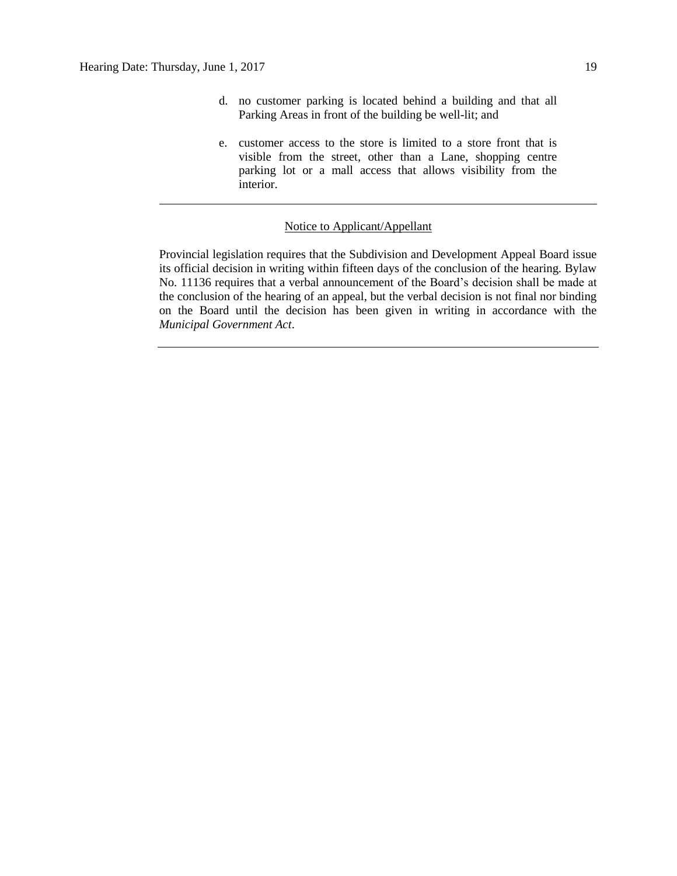- d. no customer parking is located behind a building and that all Parking Areas in front of the building be well-lit; and
- e. customer access to the store is limited to a store front that is visible from the street, other than a Lane, shopping centre parking lot or a mall access that allows visibility from the interior.

#### Notice to Applicant/Appellant

Provincial legislation requires that the Subdivision and Development Appeal Board issue its official decision in writing within fifteen days of the conclusion of the hearing. Bylaw No. 11136 requires that a verbal announcement of the Board's decision shall be made at the conclusion of the hearing of an appeal, but the verbal decision is not final nor binding on the Board until the decision has been given in writing in accordance with the *Municipal Government Act*.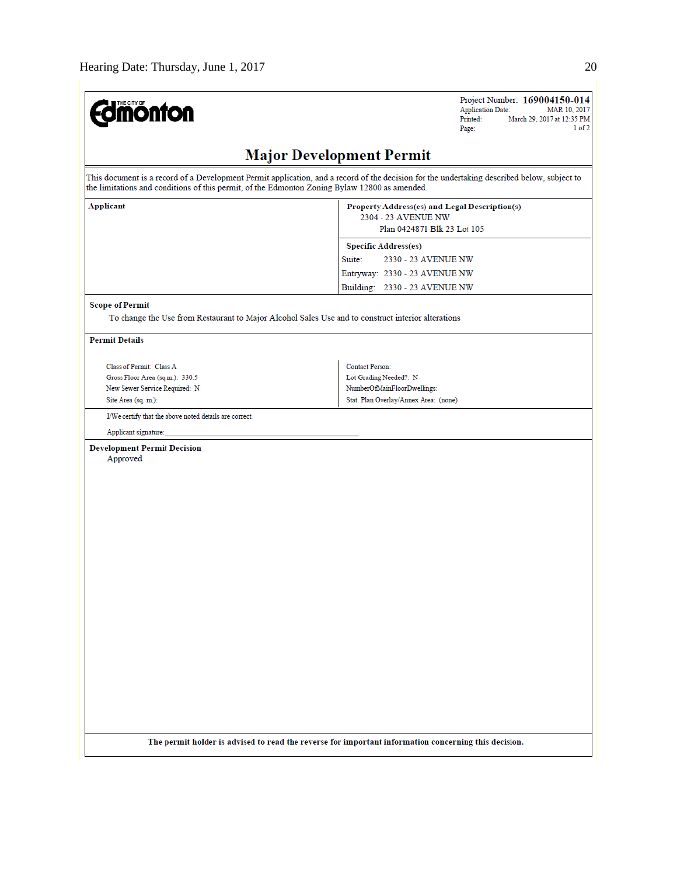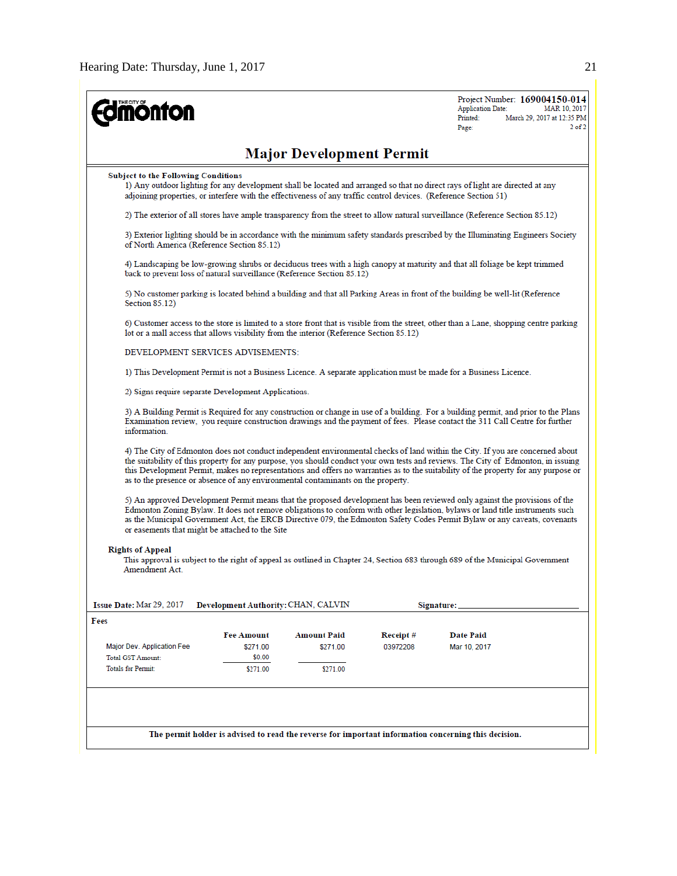| <b>monton</b>                                                                           |                                                                                                                                                                                                                                                                                                                                                                                                                                                                                               |                                 |          | Project Number: 169004150-014<br><b>Application Date:</b><br>MAR 10, 2017<br>Printed:<br>March 29, 2017 at 12:35 PM<br>$2$ of $2$<br>Page:                                                                                                                                                                                                                                                |  |  |  |
|-----------------------------------------------------------------------------------------|-----------------------------------------------------------------------------------------------------------------------------------------------------------------------------------------------------------------------------------------------------------------------------------------------------------------------------------------------------------------------------------------------------------------------------------------------------------------------------------------------|---------------------------------|----------|-------------------------------------------------------------------------------------------------------------------------------------------------------------------------------------------------------------------------------------------------------------------------------------------------------------------------------------------------------------------------------------------|--|--|--|
|                                                                                         |                                                                                                                                                                                                                                                                                                                                                                                                                                                                                               | <b>Major Development Permit</b> |          |                                                                                                                                                                                                                                                                                                                                                                                           |  |  |  |
|                                                                                         | <b>Subject to the Following Conditions</b><br>1) Any outdoor lighting for any development shall be located and arranged so that no direct rays of light are directed at any<br>adjoining properties, or interfere with the effectiveness of any traffic control devices. (Reference Section 51)                                                                                                                                                                                               |                                 |          |                                                                                                                                                                                                                                                                                                                                                                                           |  |  |  |
|                                                                                         | 2) The exterior of all stores have ample transparency from the street to allow natural surveillance (Reference Section 85.12)                                                                                                                                                                                                                                                                                                                                                                 |                                 |          |                                                                                                                                                                                                                                                                                                                                                                                           |  |  |  |
|                                                                                         | 3) Exterior lighting should be in accordance with the minimum safety standards prescribed by the Illuminating Engineers Society<br>of North America (Reference Section 85.12)                                                                                                                                                                                                                                                                                                                 |                                 |          |                                                                                                                                                                                                                                                                                                                                                                                           |  |  |  |
| back to prevent loss of natural surveillance (Reference Section 85.12)                  |                                                                                                                                                                                                                                                                                                                                                                                                                                                                                               |                                 |          | 4) Landscaping be low-growing shrubs or deciduous trees with a high canopy at maturity and that all foliage be kept trimmed                                                                                                                                                                                                                                                               |  |  |  |
| Section 85.12)                                                                          |                                                                                                                                                                                                                                                                                                                                                                                                                                                                                               |                                 |          | 5) No customer parking is located behind a building and that all Parking Areas in front of the building be well-lit (Reference                                                                                                                                                                                                                                                            |  |  |  |
| lot or a mall access that allows visibility from the interior (Reference Section 85.12) |                                                                                                                                                                                                                                                                                                                                                                                                                                                                                               |                                 |          | 6) Customer access to the store is limited to a store front that is visible from the street, other than a Lane, shopping centre parking                                                                                                                                                                                                                                                   |  |  |  |
| DEVELOPMENT SERVICES ADVISEMENTS:                                                       |                                                                                                                                                                                                                                                                                                                                                                                                                                                                                               |                                 |          |                                                                                                                                                                                                                                                                                                                                                                                           |  |  |  |
|                                                                                         |                                                                                                                                                                                                                                                                                                                                                                                                                                                                                               |                                 |          | 1) This Development Permit is not a Business Licence. A separate application must be made for a Business Licence.                                                                                                                                                                                                                                                                         |  |  |  |
| 2) Signs require separate Development Applications.                                     |                                                                                                                                                                                                                                                                                                                                                                                                                                                                                               |                                 |          |                                                                                                                                                                                                                                                                                                                                                                                           |  |  |  |
| information.                                                                            | 3) A Building Permit is Required for any construction or change in use of a building. For a building permit, and prior to the Plans<br>Examination review, you require construction drawings and the payment of fees. Please contact the 311 Call Centre for further                                                                                                                                                                                                                          |                                 |          |                                                                                                                                                                                                                                                                                                                                                                                           |  |  |  |
|                                                                                         | 4) The City of Edmonton does not conduct independent environmental checks of land within the City. If you are concerned about<br>the suitability of this property for any purpose, you should conduct your own tests and reviews. The City of Edmonton, in issuing<br>this Development Permit, makes no representations and offers no warranties as to the suitability of the property for any purpose or<br>as to the presence or absence of any environmental contaminants on the property. |                                 |          |                                                                                                                                                                                                                                                                                                                                                                                           |  |  |  |
| or easements that might be attached to the Site                                         |                                                                                                                                                                                                                                                                                                                                                                                                                                                                                               |                                 |          | 5) An approved Development Permit means that the proposed development has been reviewed only against the provisions of the<br>Edmonton Zoning Bylaw. It does not remove obligations to conform with other legislation, bylaws or land title instruments such<br>as the Municipal Government Act, the ERCB Directive 079, the Edmonton Safety Codes Permit Bylaw or any caveats, covenants |  |  |  |
| <b>Rights of Appeal</b><br>Amendment Act                                                |                                                                                                                                                                                                                                                                                                                                                                                                                                                                                               |                                 |          | This approval is subject to the right of appeal as outlined in Chapter 24, Section 683 through 689 of the Municipal Government                                                                                                                                                                                                                                                            |  |  |  |
| Issue Date: Mar 29, 2017                                                                | Development Authority: CHAN, CALVIN                                                                                                                                                                                                                                                                                                                                                                                                                                                           |                                 |          | Signature:                                                                                                                                                                                                                                                                                                                                                                                |  |  |  |
| Fees                                                                                    |                                                                                                                                                                                                                                                                                                                                                                                                                                                                                               |                                 |          |                                                                                                                                                                                                                                                                                                                                                                                           |  |  |  |
|                                                                                         | <b>Fee Amount</b>                                                                                                                                                                                                                                                                                                                                                                                                                                                                             | <b>Amount Paid</b>              | Receipt# | <b>Date Paid</b>                                                                                                                                                                                                                                                                                                                                                                          |  |  |  |
| Major Dev. Application Fee<br><b>Total GST Amount:</b>                                  | \$271.00<br>\$0.00                                                                                                                                                                                                                                                                                                                                                                                                                                                                            | \$271.00                        | 03972208 | Mar 10, 2017                                                                                                                                                                                                                                                                                                                                                                              |  |  |  |
| <b>Totals for Permit:</b>                                                               | \$271.00                                                                                                                                                                                                                                                                                                                                                                                                                                                                                      | \$271.00                        |          |                                                                                                                                                                                                                                                                                                                                                                                           |  |  |  |
|                                                                                         |                                                                                                                                                                                                                                                                                                                                                                                                                                                                                               |                                 |          |                                                                                                                                                                                                                                                                                                                                                                                           |  |  |  |
|                                                                                         |                                                                                                                                                                                                                                                                                                                                                                                                                                                                                               |                                 |          | The permit holder is advised to read the reverse for important information concerning this decision.                                                                                                                                                                                                                                                                                      |  |  |  |
|                                                                                         |                                                                                                                                                                                                                                                                                                                                                                                                                                                                                               |                                 |          |                                                                                                                                                                                                                                                                                                                                                                                           |  |  |  |